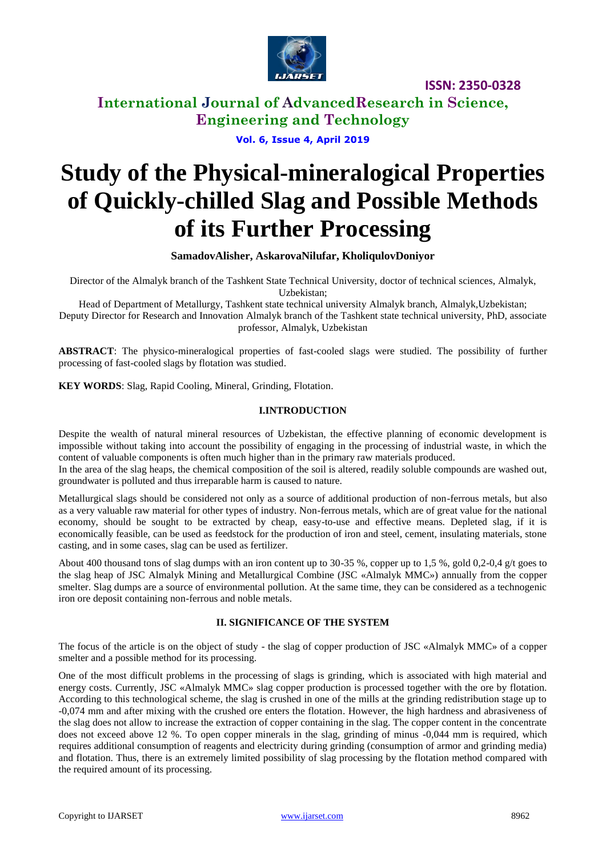

**International Journal of AdvancedResearch in Science, Engineering and Technology**

## **Vol. 6, Issue 4, April 2019**

# **Study of the Physical-mineralogical Properties of Quickly-chilled Slag and Possible Methods of its Further Processing**

**SamadovAlisher, AskarovaNilufar, KholiqulovDoniyor**

Director of the Almalyk branch of the Tashkent State Technical University, doctor of technical sciences, Almalyk, Uzbekistan;

Head of Department of Metallurgy, Tashkent state technical university Almalyk branch, Almalyk,Uzbekistan; Deputy Director for Research and Innovation Almalyk branch of the Tashkent state technical university, PhD, associate professor, Almalyk, Uzbekistan

**ABSTRACT**: The physico-mineralogical properties of fast-cooled slags were studied. The possibility of further processing of fast-cooled slags by flotation was studied.

**KEY WORDS**: Slag, Rapid Cooling, Mineral, Grinding, Flotation.

#### **I.INTRODUCTION**

Despite the wealth of natural mineral resources of Uzbekistan, the effective planning of economic development is impossible without taking into account the possibility of engaging in the processing of industrial waste, in which the content of valuable components is often much higher than in the primary raw materials produced.

In the area of the slag heaps, the chemical composition of the soil is altered, readily soluble compounds are washed out, groundwater is polluted and thus irreparable harm is caused to nature.

Metallurgical slags should be considered not only as a source of additional production of non-ferrous metals, but also as a very valuable raw material for other types of industry. Non-ferrous metals, which are of great value for the national economy, should be sought to be extracted by cheap, easy-to-use and effective means. Depleted slag, if it is economically feasible, can be used as feedstock for the production of iron and steel, cement, insulating materials, stone casting, and in some cases, slag can be used as fertilizer.

About 400 thousand tons of slag dumps with an iron content up to 30-35 %, copper up to 1,5 %, gold 0,2-0,4 g/t goes to the slag heap of JSC Almalyk Mining and Metallurgical Combine (JSC «Almalyk MMC») annually from the copper smelter. Slag dumps are a source of environmental pollution. At the same time, they can be considered as a technogenic iron ore deposit containing non-ferrous and noble metals.

#### **II. SIGNIFICANCE OF THE SYSTEM**

The focus of the article is on the object of study - the slag of copper production of JSC «Almalyk MMC» of a copper smelter and a possible method for its processing.

One of the most difficult problems in the processing of slags is grinding, which is associated with high material and energy costs. Currently, JSC «Almalyk MMC» slag copper production is processed together with the ore by flotation. According to this technological scheme, the slag is crushed in one of the mills at the grinding redistribution stage up to -0,074 mm and after mixing with the crushed ore enters the flotation. However, the high hardness and abrasiveness of the slag does not allow to increase the extraction of copper containing in the slag. The copper content in the concentrate does not exceed above 12 %. To open copper minerals in the slag, grinding of minus -0,044 mm is required, which requires additional consumption of reagents and electricity during grinding (consumption of armor and grinding media) and flotation. Thus, there is an extremely limited possibility of slag processing by the flotation method compared with the required amount of its processing.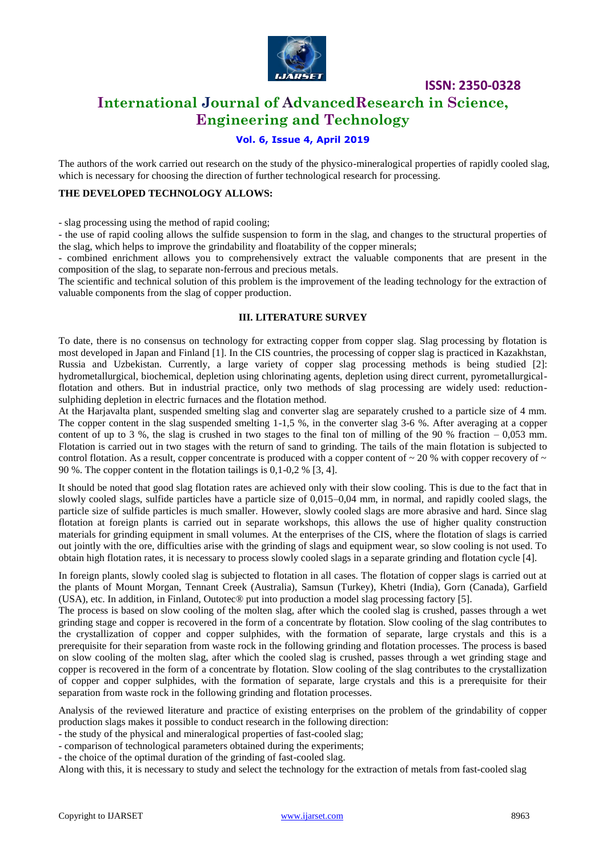

# **International Journal of AdvancedResearch in Science, Engineering and Technology**

## **Vol. 6, Issue 4, April 2019**

The authors of the work carried out research on the study of the physico-mineralogical properties of rapidly cooled slag, which is necessary for choosing the direction of further technological research for processing.

#### **THE DEVELOPED TECHNOLOGY ALLOWS:**

- slag processing using the method of rapid cooling;

- the use of rapid cooling allows the sulfide suspension to form in the slag, and changes to the structural properties of the slag, which helps to improve the grindability and floatability of the copper minerals;

- combined enrichment allows you to comprehensively extract the valuable components that are present in the composition of the slag, to separate non-ferrous and precious metals.

The scientific and technical solution of this problem is the improvement of the leading technology for the extraction of valuable components from the slag of copper production.

#### **III. LITERATURE SURVEY**

To date, there is no consensus on technology for extracting copper from copper slag. Slag processing by flotation is most developed in Japan and Finland [1]. In the CIS countries, the processing of copper slag is practiced in Kazakhstan, Russia and Uzbekistan. Currently, a large variety of copper slag processing methods is being studied [2]: hydrometallurgical, biochemical, depletion using chlorinating agents, depletion using direct current, pyrometallurgicalflotation and others. But in industrial practice, only two methods of slag processing are widely used: reductionsulphiding depletion in electric furnaces and the flotation method.

At the Harjavalta plant, suspended smelting slag and converter slag are separately crushed to a particle size of 4 mm. The copper content in the slag suspended smelting 1-1,5 %, in the converter slag 3-6 %. After averaging at a copper content of up to 3 %, the slag is crushed in two stages to the final ton of milling of the 90 % fraction  $-0.053$  mm. Flotation is carried out in two stages with the return of sand to grinding. The tails of the main flotation is subjected to control flotation. As a result, copper concentrate is produced with a copper content of  $\sim$  20 % with copper recovery of  $\sim$ 90 %. The copper content in the flotation tailings is 0,1-0,2 % [3, 4].

It should be noted that good slag flotation rates are achieved only with their slow cooling. This is due to the fact that in slowly cooled slags, sulfide particles have a particle size of 0,015–0,04 mm, in normal, and rapidly cooled slags, the particle size of sulfide particles is much smaller. However, slowly cooled slags are more abrasive and hard. Since slag flotation at foreign plants is carried out in separate workshops, this allows the use of higher quality construction materials for grinding equipment in small volumes. At the enterprises of the CIS, where the flotation of slags is carried out jointly with the ore, difficulties arise with the grinding of slags and equipment wear, so slow cooling is not used. To obtain high flotation rates, it is necessary to process slowly cooled slags in a separate grinding and flotation cycle [4].

In foreign plants, slowly cooled slag is subjected to flotation in all cases. The flotation of copper slags is carried out at the plants of Mount Morgan, Tennant Creek (Australia), Samsun (Turkey), Khetri (India), Gorn (Canada), Garfield (USA), etc. In addition, in Finland, Outotec® put into production a model slag processing factory [5].

The process is based on slow cooling of the molten slag, after which the cooled slag is crushed, passes through a wet grinding stage and copper is recovered in the form of a concentrate by flotation. Slow cooling of the slag contributes to the crystallization of copper and copper sulphides, with the formation of separate, large crystals and this is a prerequisite for their separation from waste rock in the following grinding and flotation processes. The process is based on slow cooling of the molten slag, after which the cooled slag is crushed, passes through a wet grinding stage and copper is recovered in the form of a concentrate by flotation. Slow cooling of the slag contributes to the crystallization of copper and copper sulphides, with the formation of separate, large crystals and this is a prerequisite for their separation from waste rock in the following grinding and flotation processes.

Analysis of the reviewed literature and practice of existing enterprises on the problem of the grindability of copper production slags makes it possible to conduct research in the following direction:

- the study of the physical and mineralogical properties of fast-cooled slag;

- comparison of technological parameters obtained during the experiments;

- the choice of the optimal duration of the grinding of fast-cooled slag.

Along with this, it is necessary to study and select the technology for the extraction of metals from fast-cooled slag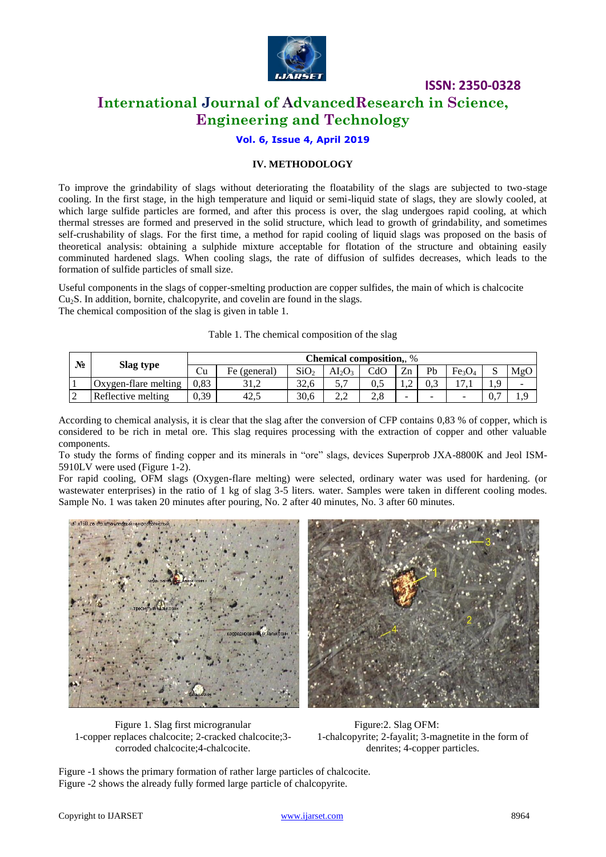

# **International Journal of AdvancedResearch in Science, Engineering and Technology**

## **Vol. 6, Issue 4, April 2019**

#### **IV. METHODOLOGY**

To improve the grindability of slags without deteriorating the floatability of the slags are subjected to two-stage cooling. In the first stage, in the high temperature and liquid or semi-liquid state of slags, they are slowly cooled, at which large sulfide particles are formed, and after this process is over, the slag undergoes rapid cooling, at which thermal stresses are formed and preserved in the solid structure, which lead to growth of grindability, and sometimes self-crushability of slags. For the first time, a method for rapid cooling of liquid slags was proposed on the basis of theoretical analysis: obtaining a sulphide mixture acceptable for flotation of the structure and obtaining easily comminuted hardened slags. When cooling slags, the rate of diffusion of sulfides decreases, which leads to the formation of sulfide particles of small size.

Useful components in the slags of copper-smelting production are copper sulfides, the main of which is chalcocite  $Cu<sub>2</sub>S$ . In addition, bornite, chalcopyrite, and covelin are found in the slags. The chemical composition of the slag is given in table 1.

|  | Table 1. The chemical composition of the slag |  |  |
|--|-----------------------------------------------|--|--|
|  |                                               |  |  |

| N° | Slag type            | <b>Chemical composition, %</b> |              |                  |               |             |                          |        |                                |                          |
|----|----------------------|--------------------------------|--------------|------------------|---------------|-------------|--------------------------|--------|--------------------------------|--------------------------|
|    |                      | ŮU                             | Fe (general) | SiO <sub>2</sub> | ALO3          | $\rm CdO$   | Zn                       | Pb     | Fe <sub>3</sub> O <sub>4</sub> | MgO                      |
|    | Oxygen-flare melting | 0.83                           | 31.2         | 32.6             | $\mathcal{L}$ | 0.5         |                          | 0.3    |                                | $\overline{\phantom{a}}$ |
|    | Reflective melting   | 0,39                           | 42.          | 30,6             | ∠.∠           | $\angle$ .ð | $\overline{\phantom{a}}$ | $\sim$ | -                              | $\Omega$                 |

According to chemical analysis, it is clear that the slag after the conversion of CFP contains 0,83 % of copper, which is considered to be rich in metal ore. This slag requires processing with the extraction of copper and other valuable components.

To study the forms of finding copper and its minerals in "ore" slags, devices Superprob JXA-8800K and Jeol ISM-5910LV were used (Figure 1-2).

For rapid cooling, OFM slags (Oxygen-flare melting) were selected, ordinary water was used for hardening. (or wastewater enterprises) in the ratio of 1 kg of slag 3-5 liters. water. Samples were taken in different cooling modes. Sample No. 1 was taken 20 minutes after pouring, No. 2 after 40 minutes, No. 3 after 60 minutes.



Figure 1. Slag first microgranular 1-copper replaces chalcocite; 2-cracked chalcocite;3 corroded chalcocite;4-chalcocite.

 Figure:2. Slag OFM: 1-chalcopyrite; 2-fayalit; 3-magnetite in the form of denrites; 4-copper particles.

Figure -1 shows the primary formation of rather large particles of chalcocite. Figure -2 shows the already fully formed large particle of chalcopyrite.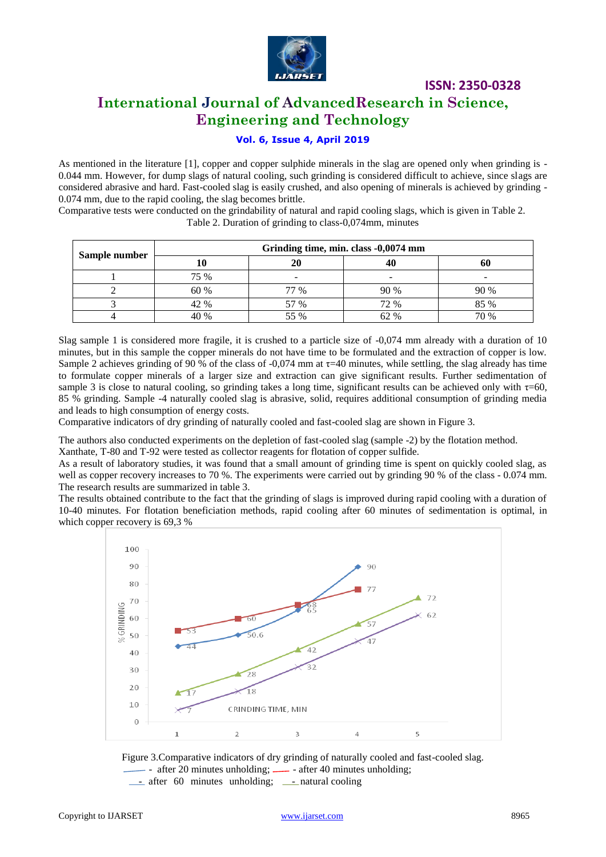

# **International Journal of AdvancedResearch in Science, Engineering and Technology**

### **Vol. 6, Issue 4, April 2019**

As mentioned in the literature [1], copper and copper sulphide minerals in the slag are opened only when grinding is - 0.044 mm. However, for dump slags of natural cooling, such grinding is considered difficult to achieve, since slags are considered abrasive and hard. Fast-cooled slag is easily crushed, and also opening of minerals is achieved by grinding - 0.074 mm, due to the rapid cooling, the slag becomes brittle.

Comparative tests were conducted on the grindability of natural and rapid cooling slags, which is given in Table 2. Table 2. Duration of grinding to class-0,074mm, minutes

|               | Grinding time, min. class -0,0074 mm |      |                          |      |  |  |
|---------------|--------------------------------------|------|--------------------------|------|--|--|
| Sample number |                                      | 20   |                          |      |  |  |
|               | 75 %                                 | -    | $\overline{\phantom{a}}$ |      |  |  |
|               | 60 %                                 | 77 % | 90 %                     | 90 % |  |  |
|               | 42 %                                 | 57 % | 72 %                     | 85 % |  |  |
|               | 40 %                                 | 55 % | 62 %                     | 70 % |  |  |

Slag sample 1 is considered more fragile, it is crushed to a particle size of -0,074 mm already with a duration of 10 minutes, but in this sample the copper minerals do not have time to be formulated and the extraction of copper is low. Sample 2 achieves grinding of 90 % of the class of -0,074 mm at  $\tau$ =40 minutes, while settling, the slag already has time to formulate copper minerals of a larger size and extraction can give significant results. Further sedimentation of sample 3 is close to natural cooling, so grinding takes a long time, significant results can be achieved only with  $\tau=60$ , 85 % grinding. Sample -4 naturally cooled slag is abrasive, solid, requires additional consumption of grinding media and leads to high consumption of energy costs.

Comparative indicators of dry grinding of naturally cooled and fast-cooled slag are shown in Figure 3.

The authors also conducted experiments on the depletion of fast-cooled slag (sample -2) by the flotation method. Xanthate, T-80 and T-92 were tested as collector reagents for flotation of copper sulfide.

As a result of laboratory studies, it was found that a small amount of grinding time is spent on quickly cooled slag, as well as copper recovery increases to 70 %. The experiments were carried out by grinding 90 % of the class - 0.074 mm. The research results are summarized in table 3.

The results obtained contribute to the fact that the grinding of slags is improved during rapid cooling with a duration of 10-40 minutes. For flotation beneficiation methods, rapid cooling after 60 minutes of sedimentation is optimal, in which copper recovery is 69,3 %



Figure 3.Comparative indicators of dry grinding of naturally cooled and fast-cooled slag.

- after 20 minutes unholding;  $\frac{1}{2}$  - after 40 minutes unholding;

 $-$  after 60 minutes unholding;  $-$  natural cooling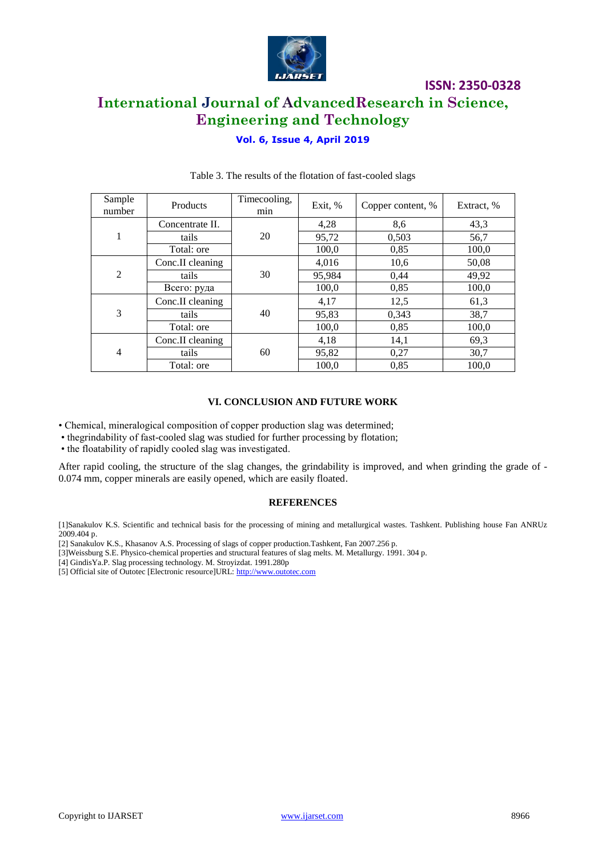

**ISSN: 2350-0328 International Journal of AdvancedResearch in Science, Engineering and Technology**

## **Vol. 6, Issue 4, April 2019**

| Sample<br>number | Products         | Timecooling,<br>min | Exit, % | Copper content, % | Extract, % |
|------------------|------------------|---------------------|---------|-------------------|------------|
|                  | Concentrate II.  |                     | 4,28    | 8,6               | 43,3       |
| 1                | tails            | 20                  | 95,72   | 0,503             | 56,7       |
|                  | Total: ore       |                     | 100,0   | 0,85              | 100,0      |
| 2                | Conc.II cleaning | 30                  | 4,016   | 10,6              | 50,08      |
|                  | tails            |                     | 95,984  | 0,44              | 49,92      |
|                  | Всего: руда      |                     | 100,0   | 0,85              | 100,0      |
| 3                | Conc.II cleaning | 40                  | 4,17    | 12,5              | 61,3       |
|                  | tails            |                     | 95,83   | 0,343             | 38,7       |
|                  | Total: ore       |                     | 100,0   | 0,85              | 100,0      |
| $\overline{4}$   | Conc.II cleaning | 60                  | 4,18    | 14,1              | 69,3       |
|                  | tails            |                     | 95,82   | 0,27              | 30,7       |
|                  | Total: ore       |                     | 100,0   | 0,85              | 100,0      |

#### Table 3. The results of the flotation of fast-cooled slags

#### **VI. CONCLUSION AND FUTURE WORK**

• Chemical, mineralogical composition of copper production slag was determined;

- thegrindability of fast-cooled slag was studied for further processing by flotation;
- the floatability of rapidly cooled slag was investigated.

After rapid cooling, the structure of the slag changes, the grindability is improved, and when grinding the grade of - 0.074 mm, copper minerals are easily opened, which are easily floated.

#### **REFERENCES**

[1]Sanakulov K.S. Scientific and technical basis for the processing of mining and metallurgical wastes. Tashkent. Publishing house Fan ANRUz 2009.404 p.

- [2] Sanakulov K.S., Khasanov A.S. Processing of slags of copper production.Tashkent, Fan 2007.256 p.
- [3]Weissburg S.E. Physico-chemical properties and structural features of slag melts. M. Metallurgy. 1991. 304 p.
- [4] GindisYa.P. Slag processing technology. M. Stroyizdat. 1991.280p
- [5] Official site of Outotec [Electronic resource]URL[: http://www.outotec.com](http://www.outotec.com/)